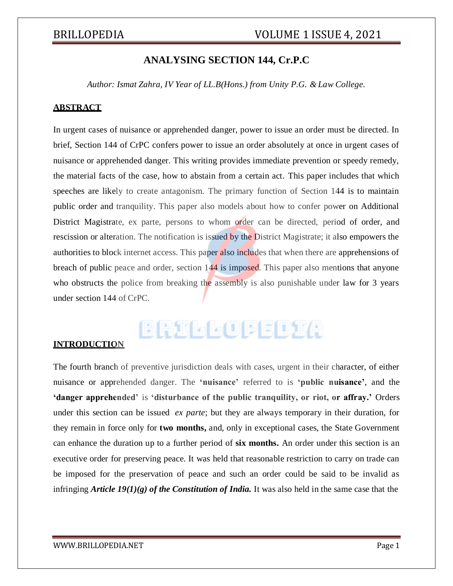### **ANALYSING SECTION 144, Cr.P.C**

*Author: Ismat Zahra, IV Year of LL.B(Hons.) from Unity P.G. & Law College.*

#### **ABSTRACT**

In urgent cases of nuisance or apprehended danger, power to issue an order must be directed. In brief, Section 144 of CrPC confers power to issue an order absolutely at once in urgent cases of nuisance or apprehended danger. This writing provides immediate prevention or speedy remedy, the material facts of the case, how to abstain from a certain act. This paper includes that which speeches are likely to create antagonism. The primary function of Section 144 is to maintain public order and tranquility. This paper also models about how to confer power on Additional District Magistrate, ex parte, persons to whom order can be directed, period of order, and rescission or alteration. The notification is issued by the District Magistrate; it also empowers the authorities to block internet access. This paper also includes that when there are apprehensions of breach of public peace and order, section 144 is imposed. This paper also mentions that anyone who obstructs the police from breaking the assembly is also punishable under law for 3 years under section 144 of CrPC.

# BRILLOPEDIA

### **INTRODUCTION**

The fourth branch of preventive jurisdiction deals with cases, urgent in their character, of either nuisance or apprehended danger. The **'nuisance'** referred to is **'public nuisance'**, and the **'danger apprehended'** is **'disturbance of the public tranquility, or riot, or affray.'** Orders under this section can be issued *ex parte*; but they are always temporary in their duration, for they remain in force only for **two months,** and, only in exceptional cases, the State Government can enhance the duration up to a further period of **six months.** An order under this section is an executive order for preserving peace. It was held that reasonable restriction to carry on trade can be imposed for the preservation of peace and such an order could be said to be invalid as infringing *Article 19(1)(g) of the Constitution of India.* It was also held in the same case that the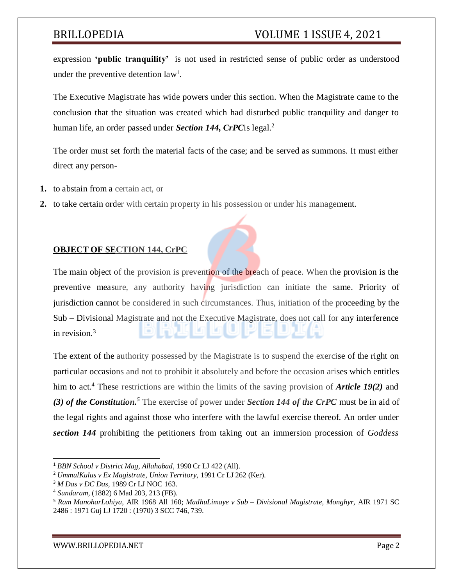expression **'public tranquility'** is not used in restricted sense of public order as understood under the preventive detention  $law<sup>1</sup>$ .

The Executive Magistrate has wide powers under this section. When the Magistrate came to the conclusion that the situation was created which had disturbed public tranquility and danger to human life, an order passed under *Section 144, CrPC*is legal.<sup>2</sup>

The order must set forth the material facts of the case; and be served as summons. It must either direct any person-

- **1.** to abstain from a certain act, or
- **2.** to take certain order with certain property in his possession or under his management.

### **OBJECT OF SECTION 144, CrPC**

The main object of the provision is prevention of the breach of peace. When the provision is the preventive measure, any authority having jurisdiction can initiate the same. Priority of jurisdiction cannot be considered in such circumstances. Thus, initiation of the proceeding by the Sub – Divisional Magistrate and not the Executive Magistrate, does not call for any interference in revision.<sup>3</sup>

The extent of the authority possessed by the Magistrate is to suspend the exercise of the right on particular occasions and not to prohibit it absolutely and before the occasion arises which entitles him to act.<sup>4</sup> These restrictions are within the limits of the saving provision of *Article 19(2)* and *(3) of the Constitution.<sup>5</sup>* The exercise of power under *Section 144 of the CrPC* must be in aid of the legal rights and against those who interfere with the lawful exercise thereof. An order under *section 144* prohibiting the petitioners from taking out an immersion procession of *Goddess*

<sup>1</sup> *BBN School v District Mag, Allahabad,* 1990 Cr LJ 422 (All).

<sup>2</sup> *UmmulKulus v Ex Magistrate, Union Territory,* 1991 Cr LJ 262 (Ker).

<sup>3</sup> *M Das v DC Das,* 1989 Cr LJ NOC 163.

<sup>4</sup> *Sundaram,* (1882) 6 Mad 203, 213 (FB).

<sup>5</sup> *Ram ManoharLohiya,* AIR 1968 All 160; *MadhuLimaye v Sub – Divisional Magistrate, Monghyr,* AIR 1971 SC 2486 : 1971 Guj LJ 1720 : (1970) 3 SCC 746, 739.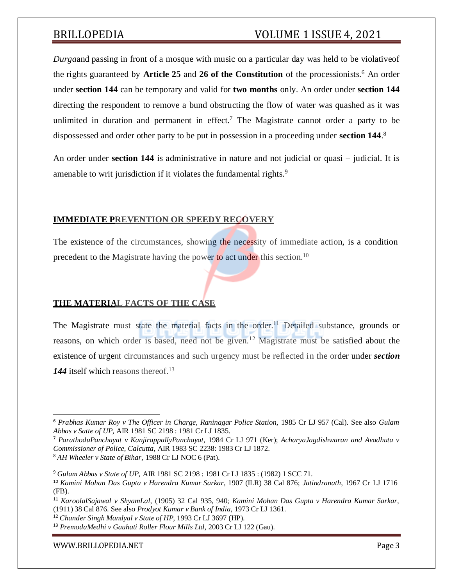*Durga*and passing in front of a mosque with music on a particular day was held to be violativeof the rights guaranteed by **Article 25** and **26 of the Constitution** of the processionists.<sup>6</sup> An order under **section 144** can be temporary and valid for **two months** only. An order under **section 144** directing the respondent to remove a bund obstructing the flow of water was quashed as it was unlimited in duration and permanent in effect.<sup>7</sup> The Magistrate cannot order a party to be dispossessed and order other party to be put in possession in a proceeding under **section 144**. 8

An order under **section 144** is administrative in nature and not judicial or quasi – judicial. It is amenable to writ jurisdiction if it violates the fundamental rights.<sup>9</sup>

### **IMMEDIATE PREVENTION OR SPEEDY RECOVERY**

The existence of the circumstances, showing the necessity of immediate action, is a condition precedent to the Magistrate having the power to act under this section.<sup>10</sup>

### **THE MATERIAL FACTS OF THE CASE**

The Magistrate must state the material facts in the order.<sup>11</sup> Detailed substance, grounds or reasons, on which order is based, need not be given.<sup>12</sup> Magistrate must be satisfied about the existence of urgent circumstances and such urgency must be reflected in the order under *section* 144 itself which reasons thereof.<sup>13</sup>

#### [WWW.BRILLOPEDIA.NET](http://www.brillopedia.net/)

<sup>6</sup> *Prabhas Kumar Roy v The Officer in Charge, Raninagar Police Station,* 1985 Cr LJ 957 (Cal). See also *Gulam Abbas v Satte of UP,* AIR 1981 SC 2198 : 1981 Cr LJ 1835.

<sup>7</sup> *ParathoduPanchayat v KanjirappallyPanchayat,* 1984 Cr LJ 971 (Ker); *AcharyaJagdishwaran and Avadhuta v Commissioner of Police, Calcutta,* AIR 1983 SC 2238: 1983 Cr LJ 1872.

<sup>8</sup> *AH Wheeler v State of Bihar,* 1988 Cr LJ NOC 6 (Pat).

<sup>9</sup> *Gulam Abbas v State of UP,* AIR 1981 SC 2198 : 1981 Cr LJ 1835 : (1982) 1 SCC 71.

<sup>10</sup> *Kamini Mohan Das Gupta v Harendra Kumar Sarkar,* 1907 (ILR) 38 Cal 876; *Jatindranath*, 1967 Cr LJ 1716 (FB).

<sup>11</sup> *KaroolalSajawal v ShyamLal,* (1905) 32 Cal 935, 940; *Kamini Mohan Das Gupta v Harendra Kumar Sarkar,* (1911) 38 Cal 876. See also *Prodyot Kumar v Bank of India,* 1973 Cr LJ 1361.

<sup>12</sup> *Chander Singh Mandyal v State of HP,* 1993 Cr LJ 3697 (HP).

<sup>13</sup> *PremodaMedhi v Gauhati Roller Flour Mills Ltd,* 2003 Cr LJ 122 (Gau).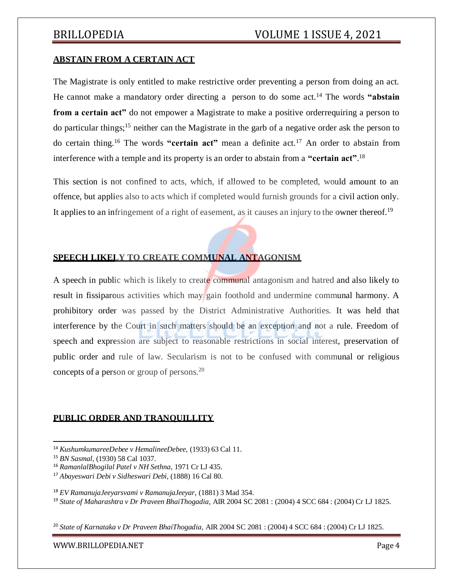### **ABSTAIN FROM A CERTAIN ACT**

The Magistrate is only entitled to make restrictive order preventing a person from doing an act. He cannot make a mandatory order directing a person to do some act.<sup>14</sup> The words **"abstain from a certain act**" do not empower a Magistrate to make a positive orderrequiring a person to do particular things;<sup>15</sup> neither can the Magistrate in the garb of a negative order ask the person to do certain thing.<sup>16</sup> The words **"certain act"** mean a definite act.<sup>17</sup> An order to abstain from interference with a temple and its property is an order to abstain from a **"certain act"**. 18

This section is not confined to acts, which, if allowed to be completed, would amount to an offence, but applies also to acts which if completed would furnish grounds for a civil action only. It applies to an infringement of a right of easement, as it causes an injury to the owner thereof.<sup>19</sup>

### **SPEECH LIKELY TO CREATE COMMUNAL ANTAGONISM**

A speech in public which is likely to create communal antagonism and hatred and also likely to result in fissiparous activities which may gain foothold and undermine communal harmony. A prohibitory order was passed by the District Administrative Authorities. It was held that interference by the Court in such matters should be an exception and not a rule. Freedom of speech and expression are subject to reasonable restrictions in social interest, preservation of public order and rule of law. Secularism is not to be confused with communal or religious concepts of a person or group of persons.<sup>20</sup>

#### **PUBLIC ORDER AND TRANQUILLITY**

<sup>20</sup> *State of Karnataka v Dr Praveen BhaiThogadia,* AIR 2004 SC 2081 : (2004) 4 SCC 684 : (2004) Cr LJ 1825.

<sup>14</sup> *KushumkumareeDebee v HemalineeDebee,* (1933) 63 Cal 11.

<sup>15</sup> *BN Sasmal,* (1930) 58 Cal 1037.

<sup>16</sup> *RamanlalBhogilal Patel v NH Sethna,* 1971 Cr LJ 435.

<sup>17</sup> *Abayeswari Debi v Sidheswari Debi,* (1888) 16 Cal 80.

<sup>18</sup> *EV RamanujaJeeyarsvami v RamanujaJeeyar,* (1881) 3 Mad 354.

<sup>19</sup> *State of Maharashtra v Dr Praveen BhaiThogadia,* AIR 2004 SC 2081 : (2004) 4 SCC 684 : (2004) Cr LJ 1825.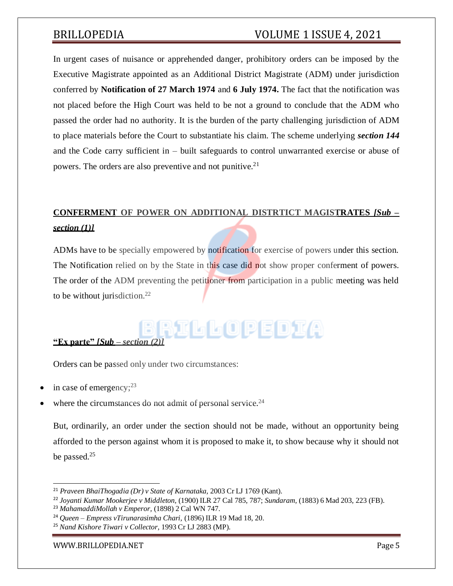In urgent cases of nuisance or apprehended danger, prohibitory orders can be imposed by the Executive Magistrate appointed as an Additional District Magistrate (ADM) under jurisdiction conferred by **Notification of 27 March 1974** and **6 July 1974.** The fact that the notification was not placed before the High Court was held to be not a ground to conclude that the ADM who passed the order had no authority. It is the burden of the party challenging jurisdiction of ADM to place materials before the Court to substantiate his claim. The scheme underlying *section 144* and the Code carry sufficient in – built safeguards to control unwarranted exercise or abuse of powers. The orders are also preventive and not punitive.<sup>21</sup>

# **CONFERMENT OF POWER ON ADDITIONAL DISTRTICT MAGISTRATES** *[Sub –*

### *section (1)]*

ADMs have to be specially empowered by notification for exercise of powers under this section. The Notification relied on by the State in this case did not show proper conferment of powers. The order of the ADM preventing the petitioner from participation in a public meeting was held to be without jurisdiction.<sup>22</sup>

# $\frac{1}{2}$   $\frac{1}{2}$   $\frac{1}{2}$   $\frac{1}{2}$   $\frac{1}{2}$   $\frac{1}{2}$   $\frac{1}{2}$   $\frac{1}{2}$   $\frac{1}{2}$   $\frac{1}{2}$

Orders can be passed only under two circumstances:

- in case of emergency; $^{23}$
- where the circumstances do not admit of personal service.<sup>24</sup>

But, ordinarily, an order under the section should not be made, without an opportunity being afforded to the person against whom it is proposed to make it, to show because why it should not be passed.<sup>25</sup>

[WWW.BRILLOPEDIA.NET](http://www.brillopedia.net/)

<sup>21</sup> *Praveen BhaiThogadia (Dr) v State of Karnataka,* 2003 Cr LJ 1769 (Kant).

<sup>22</sup> *Joyanti Kumar Mookerjee v Middleton,* (1900) ILR 27 Cal 785, 787; *Sundaram,* (1883) 6 Mad 203, 223 (FB).

<sup>23</sup> *MahamaddiMollah v Emperor,* (1898) 2 Cal WN 747.

<sup>24</sup> *Queen – Empress vTirunarasimha Chari,* (1896) ILR 19 Mad 18, 20.

<sup>25</sup> *Nand Kishore Tiwari v Collector,* 1993 Cr LJ 2883 (MP).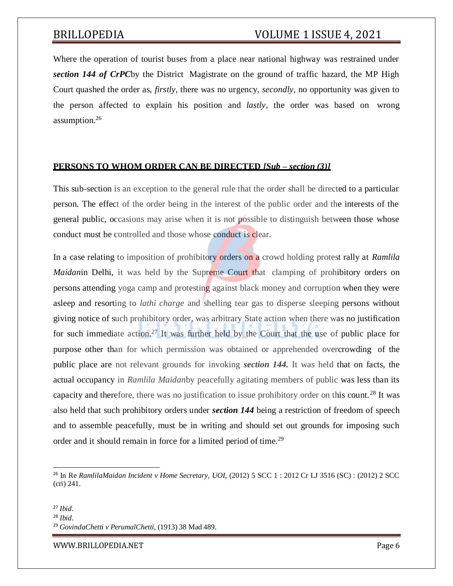Where the operation of tourist buses from a place near national highway was restrained under *section 144 of CrPC*by the District Magistrate on the ground of traffic hazard, the MP High Court quashed the order as, *firstly,* there was no urgency, *secondly,* no opportunity was given to the person affected to explain his position and *lastly,* the order was based on wrong assumption.<sup>26</sup>

### **PERSONS TO WHOM ORDER CAN BE DIRECTED** *[Sub – section (3)]*

This sub-section is an exception to the general rule that the order shall be directed to a particular person. The effect of the order being in the interest of the public order and the interests of the general public, occasions may arise when it is not possible to distinguish between those whose conduct must be controlled and those whose conduct is clear.

In a case relating to imposition of prohibitory orders on a crowd holding protest rally at *Ramlila Maidanin Delhi, it was held by the Supreme Court that clamping of prohibitory orders on* persons attending yoga camp and protesting against black money and corruption when they were asleep and resorting to *lathi charge* and shelling tear gas to disperse sleeping persons without giving notice of such prohibitory order, was arbitrary State action when there was no justification for such immediate action.<sup>27</sup> It was further held by the Court that the use of public place for purpose other than for which permission was obtained or apprehended overcrowding of the public place are not relevant grounds for invoking *section 144.* It was held that on facts, the actual occupancy in *Ramlila Maidan*by peacefully agitating members of public was less than its capacity and therefore, there was no justification to issue prohibitory order on this count. <sup>28</sup> It was also held that such prohibitory orders under *section 144* being a restriction of freedom of speech and to assemble peacefully, must be in writing and should set out grounds for imposing such order and it should remain in force for a limited period of time.<sup>29</sup>

<sup>26</sup> In Re *RamlilaMaidan Incident v Home Secretary, UOI,* (2012) 5 SCC 1 : 2012 Cr LJ 3516 (SC) : (2012) 2 SCC (cri) 241.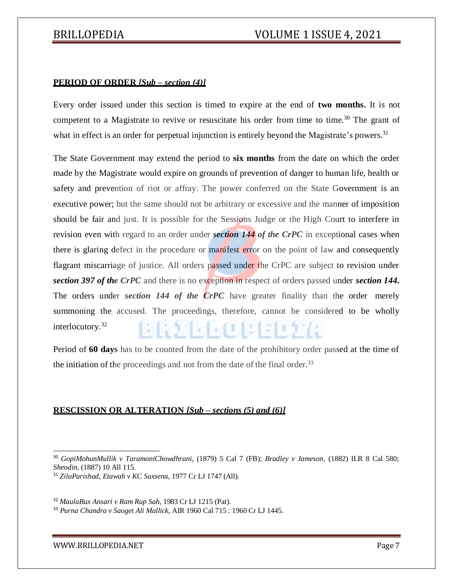#### **PERIOD OF ORDER** *[Sub – section (4)]*

Every order issued under this section is timed to expire at the end of **two months.** It is not competent to a Magistrate to revive or resuscitate his order from time to time.<sup>30</sup> The grant of what in effect is an order for perpetual injunction is entirely beyond the Magistrate's powers.<sup>31</sup>

The State Government may extend the period to **six months** from the date on which the order made by the Magistrate would expire on grounds of prevention of danger to human life, health or safety and prevention of riot or affray. The power conferred on the State Government is an executive power; but the same should not be arbitrary or excessive and the manner of imposition should be fair and just. It is possible for the Sessions Judge or the High Court to interfere in revision even with regard to an order under *section 144 of the CrPC* in exceptional cases when there is glaring defect in the procedure or manifest error on the point of law and consequently flagrant miscarriage of justice. All orders passed under the CrPC are subject to revision under *section 397 of the CrPC* and there is no exception in respect of orders passed under *section 144.* The orders under *section 144 of the CrPC* have greater finality than the order merely summoning the accused. The proceedings, therefore, cannot be considered to be wholly interlocutory.<sup>32</sup> RII G G O P E D) K

Period of **60 days** has to be counted from the date of the prohibitory order passed at the time of the initiation of the proceedings and not from the date of the final order.<sup>33</sup>

### **RESCISSION OR ALTERATION** *[Sub – sections (5) and (6)]*

<sup>31</sup> *ZilaParishad, Etawah v KC Saxsena,* 1977 Cr LJ 1747 (All).

<sup>32</sup> *MaulaBux Ansari v Ram Rup Sah,* 1983 Cr LJ 1215 (Pat).

<sup>33</sup> *Purna Chandra v Saoget Ali Mallick,* AIR 1960 Cal 715 : 1960 Cr LJ 1445.

<sup>30</sup> *GopiMohunMullik v TaramoniChowdhrani,* (1879) 5 Cal 7 (FB); *Bradley v Jameson,* (1882) ILR 8 Cal 580; *Sheodin,* (1887) 10 All 115.